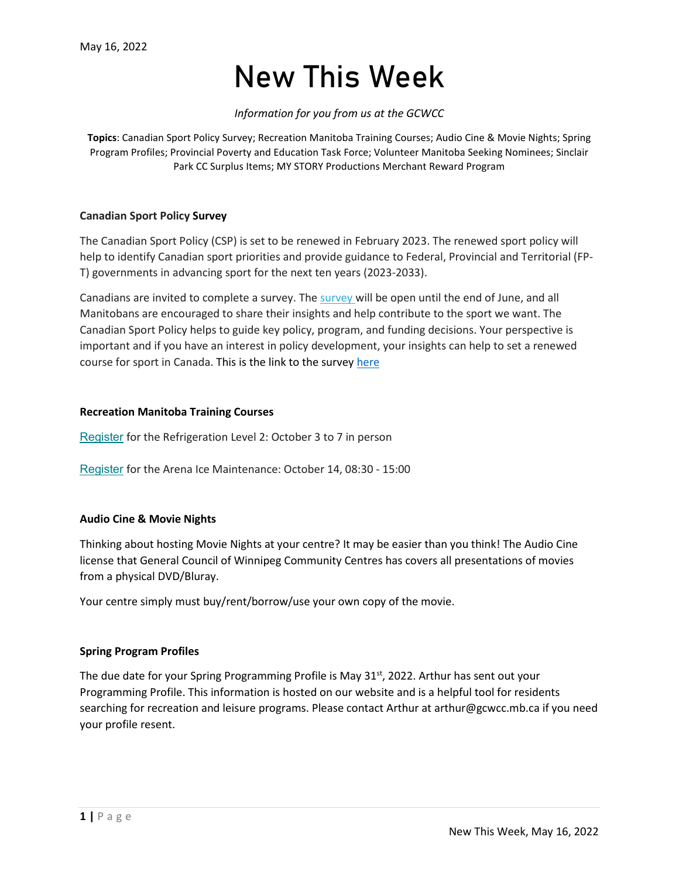# New This Week

# *Information for you from us at the GCWCC*

**Topics**: Canadian Sport Policy Survey; Recreation Manitoba Training Courses; Audio Cine & Movie Nights; Spring Program Profiles; Provincial Poverty and Education Task Force; Volunteer Manitoba Seeking Nominees; Sinclair Park CC Surplus Items; MY STORY Productions Merchant Reward Program

## **Canadian Sport Policy Survey**

The Canadian Sport Policy (CSP) is set to be renewed in February 2023. The renewed sport policy will help to identify Canadian sport priorities and provide guidance to Federal, Provincial and Territorial (FP-T) governments in advancing sport for the next ten years (2023-2033).

Canadians are invited to complete a survey. The [survey](https://url.emailprotection.link/?bXdNLPNsaG7CVHQ_RU1bGt4X-NTCWffngUE6B29D1QHyqQnpPGC6eCIfuybHgNqTP6UTx7pMnsikvGj5OUURLYAEaE_QB6tRKX-CHi2L2pCdGksUv-oonyKOJXfatXLi0fOiVvBUOysC3yCTk8uj4R8I9P1RJgod78KbhYLGLd-E%7E) will be open until the end of June, and all Manitobans are encouraged to share their insights and help contribute to the sport we want. The Canadian Sport Policy helps to guide key policy, program, and funding decisions. Your perspective is important and if you have an interest in policy development, your insights can help to set a renewed course for sport in Canada. This is the link to the survey [here](https://www.surveymonkey.ca/r/7CPXGSN?utm_source=PSO+Presidents+%26+EDs+-+Do+NOT+Email+List+Without+Permission+From+Susan&utm_campaign=daffb1288c-EMAIL_CAMPAIGN_2018_02_13_COPY_01&utm_medium=email&utm_term=0_8ae5b618c2-daffb1288c-103815109&mc_cid=daffb1288c&mc_eid=5b8fbba7c1)

#### **Recreation Manitoba Training Courses**

[Register](https://recreationmb.us4.list-manage.com/track/click?u=8de91dae132ff629742ca22cf&id=068f59b990&e=8a8e07a797) for the Refrigeration Level 2: October 3 to 7 in person

[Register](https://recreationmb.us4.list-manage.com/track/click?u=8de91dae132ff629742ca22cf&id=283898715b&e=8a8e07a797) for the Arena Ice Maintenance: October 14, 08:30 - 15:00

## **Audio Cine & Movie Nights**

Thinking about hosting Movie Nights at your centre? It may be easier than you think! The Audio Cine license that General Council of Winnipeg Community Centres has covers all presentations of movies from a physical DVD/Bluray.

Your centre simply must buy/rent/borrow/use your own copy of the movie.

## **Spring Program Profiles**

The due date for your Spring Programming Profile is May  $31^{st}$ , 2022. Arthur has sent out your Programming Profile. This information is hosted on our website and is a helpful tool for residents searching for recreation and leisure programs. Please contact Arthur at arthur@gcwcc.mb.ca if you need your profile resent.